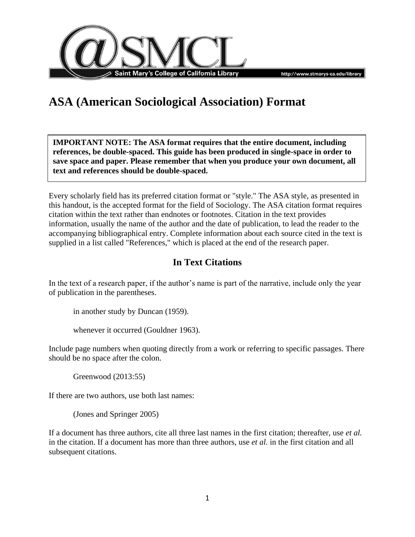



# **ASA (American Sociological Association) Format**

**IMPORTANT NOTE: The ASA format requires that the entire document, including references, be double-spaced. This guide has been produced in single-space in order to save space and paper. Please remember that when you produce your own document, all text and references should be double-spaced.**

Every scholarly field has its preferred citation format or "style." The ASA style, as presented in this handout, is the accepted format for the field of Sociology. The ASA citation format requires citation within the text rather than endnotes or footnotes. Citation in the text provides information, usually the name of the author and the date of publication, to lead the reader to the accompanying bibliographical entry. Complete information about each source cited in the text is supplied in a list called "References," which is placed at the end of the research paper.

# **In Text Citations**

In the text of a research paper, if the author's name is part of the narrative, include only the year of publication in the parentheses.

in another study by Duncan (1959).

whenever it occurred (Gouldner 1963).

Include page numbers when quoting directly from a work or referring to specific passages. There should be no space after the colon.

Greenwood (2013:55)

If there are two authors, use both last names:

(Jones and Springer 2005)

If a document has three authors, cite all three last names in the first citation; thereafter, use *et al.* in the citation. If a document has more than three authors, use *et al.* in the first citation and all subsequent citations.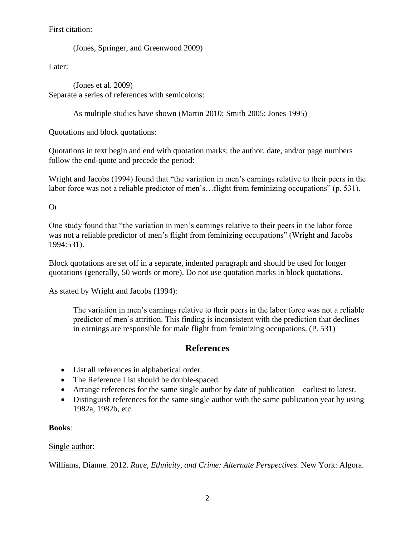## First citation:

(Jones, Springer, and Greenwood 2009)

Later:

(Jones et al. 2009) Separate a series of references with semicolons:

As multiple studies have shown (Martin 2010; Smith 2005; Jones 1995)

Quotations and block quotations:

Quotations in text begin and end with quotation marks; the author, date, and/or page numbers follow the end-quote and precede the period:

Wright and Jacobs (1994) found that "the variation in men's earnings relative to their peers in the labor force was not a reliable predictor of men's…flight from feminizing occupations" (p. 531).

Or

One study found that "the variation in men's earnings relative to their peers in the labor force was not a reliable predictor of men's flight from feminizing occupations" (Wright and Jacobs 1994:531).

Block quotations are set off in a separate, indented paragraph and should be used for longer quotations (generally, 50 words or more). Do not use quotation marks in block quotations.

As stated by Wright and Jacobs (1994):

The variation in men's earnings relative to their peers in the labor force was not a reliable predictor of men's attrition. This finding is inconsistent with the prediction that declines in earnings are responsible for male flight from feminizing occupations. (P. 531)

# **References**

- List all references in alphabetical order.
- The Reference List should be double-spaced.
- Arrange references for the same single author by date of publication—earliest to latest.
- Distinguish references for the same single author with the same publication year by using 1982a, 1982b, etc.

# **Books**:

### Single author:

Williams, Dianne. 2012. *Race, Ethnicity, and Crime: Alternate Perspectives*. New York: Algora.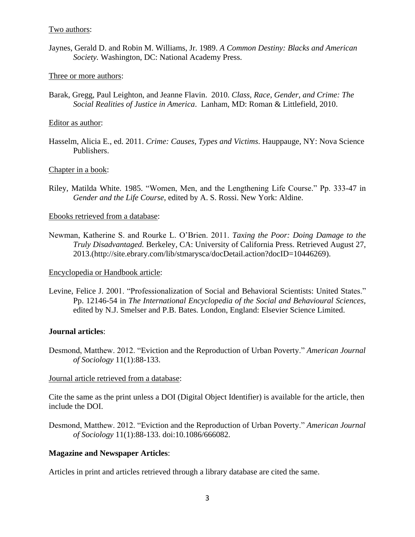#### Two authors:

Jaynes, Gerald D. and Robin M. Williams, Jr. 1989. *A Common Destiny: Blacks and American Society.* Washington, DC: National Academy Press.

#### Three or more authors:

Barak, Gregg, Paul Leighton, and Jeanne Flavin. 2010. *Class, Race, Gender, and Crime: The Social Realities of Justice in America*. Lanham, MD: Roman & Littlefield, 2010.

#### Editor as author:

Hasselm, Alicia E., ed. 2011. *Crime: Causes, Types and Victims*. Hauppauge, NY: Nova Science Publishers.

#### Chapter in a book:

Riley, Matilda White. 1985. "Women, Men, and the Lengthening Life Course." Pp. 333-47 in *Gender and the Life Course*, edited by A. S. Rossi. New York: Aldine.

#### Ebooks retrieved from a database:

Newman, Katherine S. and Rourke L. O'Brien. 2011. *Taxing the Poor: Doing Damage to the Truly Disadvantaged.* Berkeley, CA: University of California Press. Retrieved August 27, 2013.(http://site.ebrary.com/lib/stmarysca/docDetail.action?docID=10446269).

#### Encyclopedia or Handbook article:

Levine, Felice J. 2001. "Professionalization of Social and Behavioral Scientists: United States." Pp. 12146-54 in *The International Encyclopedia of the Social and Behavioural Sciences,*  edited by N.J. Smelser and P.B. Bates*.* London, England: Elsevier Science Limited.

#### **Journal articles**:

Desmond, Matthew. 2012. "Eviction and the Reproduction of Urban Poverty." *American Journal of Sociology* 11(1):88-133.

#### Journal article retrieved from a database:

Cite the same as the print unless a DOI (Digital Object Identifier) is available for the article, then include the DOI.

Desmond, Matthew. 2012. "Eviction and the Reproduction of Urban Poverty." *American Journal of Sociology* 11(1):88-133. doi:10.1086/666082.

#### **Magazine and Newspaper Articles**:

Articles in print and articles retrieved through a library database are cited the same.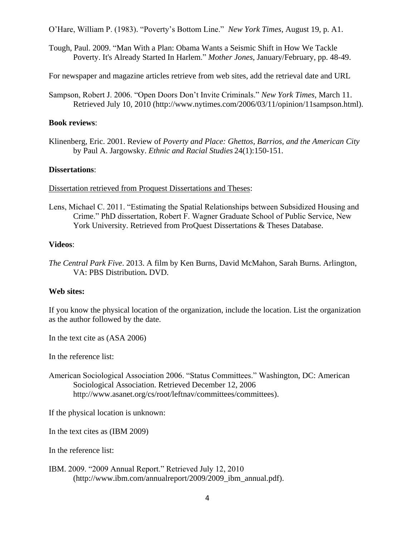O'Hare, William P. (1983). "Poverty's Bottom Line." *New York Times*, August 19, p. A1.

Tough, Paul. 2009. "Man With a Plan: Obama Wants a Seismic Shift in How We Tackle Poverty. It's Already Started In Harlem." *Mother Jones*, January/February, pp. 48-49.

For newspaper and magazine articles retrieve from web sites, add the retrieval date and URL

Sampson, Robert J. 2006. "Open Doors Don't Invite Criminals." *New York Times,* March 11. Retrieved July 10, 2010 (http://www.nytimes.com/2006/03/11/opinion/11sampson.html).

#### **Book reviews**:

Klinenberg, Eric. 2001. Review of *Poverty and Place: Ghettos, Barrios, and the American City* by Paul A. Jargowsky. *Ethnic and Racial Studies* 24(1):150-151.

#### **Dissertations**:

Dissertation retrieved from Proquest Dissertations and Theses:

Lens, Michael C. 2011. "Estimating the Spatial Relationships between Subsidized Housing and Crime." PhD dissertation, Robert F. Wagner Graduate School of Public Service, New York University. Retrieved from ProQuest Dissertations & Theses Database.

#### **Videos**:

*The Central Park Five*. 2013. A film by Ken Burns, David McMahon, Sarah Burns. Arlington, VA: PBS Distribution**.** DVD.

#### **Web sites:**

If you know the physical location of the organization, include the location. List the organization as the author followed by the date.

In the text cite as (ASA 2006)

In the reference list:

American Sociological Association 2006. "Status Committees." Washington, DC: American Sociological Association. Retrieved December 12, 2006 http://www.asanet.org/cs/root/leftnav/committees/committees).

If the physical location is unknown:

In the text cites as (IBM 2009)

In the reference list:

IBM. 2009. "2009 Annual Report." Retrieved July 12, 2010 (http://www.ibm.com/annualreport/2009/2009\_ibm\_annual.pdf).